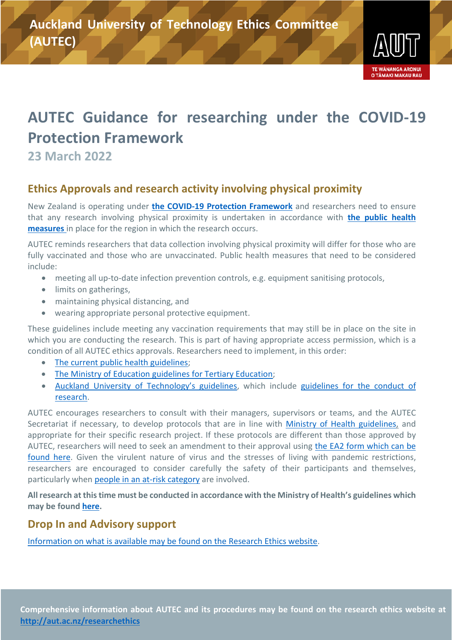

# **AUTEC Guidance for researching under the COVID-19 Protection Framework**

**23 March 2022**

## **Ethics Approvals and research activity involving physical proximity**

New Zealand is operating under **[the COVID-19 Protection Framework](https://covid19.govt.nz/traffic-lights/)** and researchers need to ensure that any research involving physical proximity is undertaken in accordance with **[the public health](https://covid19.govt.nz/)  [measures](https://covid19.govt.nz/)** in place for the region in which the research occurs.

AUTEC reminds researchers that data collection involving physical proximity will differ for those who are fully vaccinated and those who are unvaccinated. Public health measures that need to be considered include:

- meeting all up-to-date infection prevention controls, e.g. equipment sanitising protocols,
- limits on gatherings,
- maintaining physical distancing, and
- wearing appropriate personal protective equipment.

These guidelines include meeting any vaccination requirements that may still be in place on the site in which you are conducting the research. This is part of having appropriate access permission, which is a condition of all AUTEC ethics approvals. Researchers need to implement, in this order:

- [The current public health guidelines;](https://covid19.govt.nz/)
- [The Ministry of Education guidelines for Tertiary Education;](https://www.education.govt.nz/covid-19/advice-for-tertiary-providerswhare-wananga/covid-19-protection-framework-advice-for-tertiary-education-providers/red/)
- [Auckland University of Technology's guidelines,](https://autuni.sharepoint.com/sites/Tuia/SitePages/COVID-19-supporting-staff.aspx) which include guidelines for the conduct of [research.](https://autuni.sharepoint.com/sites/Tuia/SitePages/COVID-19-Research-during.aspx)

AUTEC encourages researchers to consult with their managers, supervisors or teams, and the AUTEC Secretariat if necessary, to develop protocols that are in line with [Ministry of Health guidelines,](https://covid19.govt.nz/) and appropriate for their specific research project. If these protocols are different than those approved by AUTEC, researchers will need to seek an amendment to their approval using [the EA2 form which can be](https://www.aut.ac.nz/research/researchethics)  [found here.](https://www.aut.ac.nz/research/researchethics) Given the virulent nature of virus and the stresses of living with pandemic restrictions, researchers are encouraged to consider carefully the safety of their participants and themselves, particularly when [people in an at-risk category](https://covid19.govt.nz/health-and-wellbeing/about-covid-19/people-at-higher-risk-of-severe-illness-from-covid-19/) are involved.

**All research at this time must be conducted in accordance with the Ministry of Health's guidelines which may be found [here.](https://covid19.govt.nz/)**

#### **Drop In and Advisory support**

Information on what is available may [be found on the Research Ethics website.](https://www.aut.ac.nz/research/researchethics/resources/workshops,-seminars-and-drop-ins)

**Comprehensive information about AUTEC and its procedures may be found on the research ethics website at <http://aut.ac.nz/researchethics>**